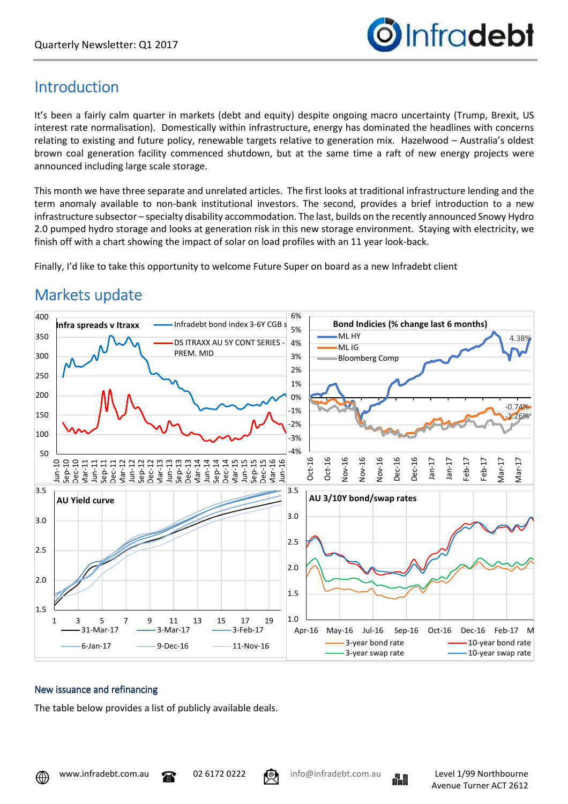

### Introduction

It's been a fairly calm quarter in markets (debt and equity) despite ongoing macro uncertainty (Trump, Brexit, US interest rate normalisation). Domestically within infrastructure, energy has dominated the headlines with concerns relating to existing and future policy, renewable targets relative to generation mix. Hazelwood – Australia's oldest brown coal generation facility commenced shutdown, but at the same time a raft of new energy projects were announced including large scale storage.

This month we have three separate and unrelated articles. The first looks at traditional infrastructure lending and the term anomaly available to non-bank institutional investors. The second, provides a brief introduction to a new infrastructure subsector – specialty disability accommodation. The last, builds on the recently announced Snowy Hydro 2.0 pumped hydro storage and looks at generation risk in this new storage environment. Staying with electricity, we finish off with a chart showing the impact of solar on load profiles with an 11 year look-back.

Finally, I'd like to take this opportunity to welcome Future Super on board as a new Infradebt client



# Markets update

#### New issuance and refinancing

The table below provides a list of publicly available deals.

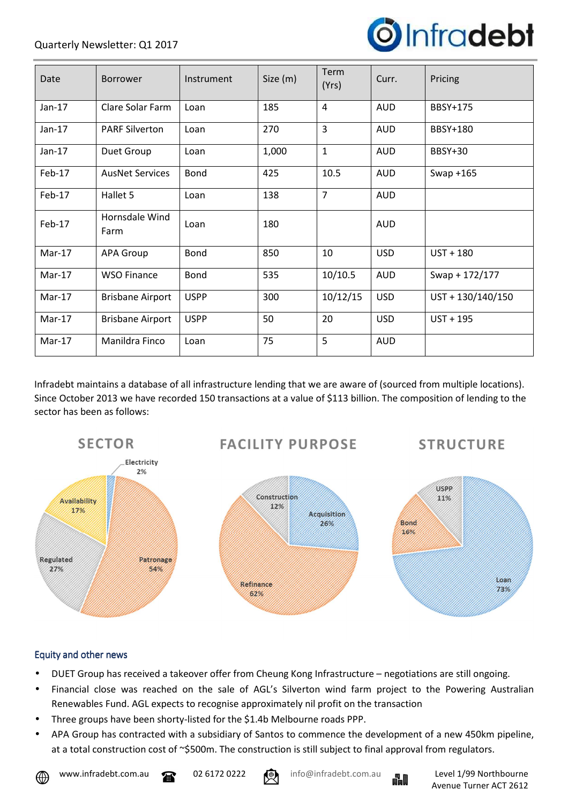

| Date     | Borrower                | Instrument  | Size (m) | Term<br>(Yrs)  | Curr.      | Pricing           |
|----------|-------------------------|-------------|----------|----------------|------------|-------------------|
| $Jan-17$ | Clare Solar Farm        | Loan        | 185      | $\overline{4}$ | <b>AUD</b> | BBSY+175          |
| $Jan-17$ | <b>PARF Silverton</b>   | Loan        | 270      | $\overline{3}$ | <b>AUD</b> | <b>BBSY+180</b>   |
| $Jan-17$ | Duet Group              | Loan        | 1,000    | $\mathbf{1}$   | <b>AUD</b> | <b>BBSY+30</b>    |
| Feb-17   | <b>AusNet Services</b>  | Bond        | 425      | 10.5           | <b>AUD</b> | Swap $+165$       |
| Feb-17   | Hallet 5                | Loan        | 138      | $\overline{7}$ | <b>AUD</b> |                   |
| Feb-17   | Hornsdale Wind<br>Farm  | Loan        | 180      |                | <b>AUD</b> |                   |
| $Mar-17$ | <b>APA Group</b>        | Bond        | 850      | 10             | <b>USD</b> | $UST + 180$       |
| $Mar-17$ | <b>WSO Finance</b>      | <b>Bond</b> | 535      | 10/10.5        | <b>AUD</b> | Swap + 172/177    |
| $Mar-17$ | <b>Brisbane Airport</b> | <b>USPP</b> | 300      | 10/12/15       | <b>USD</b> | UST + 130/140/150 |
| Mar-17   | <b>Brisbane Airport</b> | <b>USPP</b> | 50       | 20             | <b>USD</b> | $UST + 195$       |
| $Mar-17$ | Manildra Finco          | Loan        | 75       | 5              | <b>AUD</b> |                   |

Infradebt maintains a database of all infrastructure lending that we are aware of (sourced from multiple locations). Since October 2013 we have recorded 150 transactions at a value of \$113 billion. The composition of lending to the sector has been as follows:



#### Equity and other news

- DUET Group has received a takeover offer from Cheung Kong Infrastructure negotiations are still ongoing.
- Financial close was reached on the sale of AGL's Silverton wind farm project to the Powering Australian Renewables Fund. AGL expects to recognise approximately nil profit on the transaction
- Three groups have been shorty-listed for the \$1.4b Melbourne roads PPP.
- APA Group has contracted with a subsidiary of Santos to commence the development of a new 450km pipeline, at a total construction cost of ~\$500m. The construction is still subject to final approval from regulators.





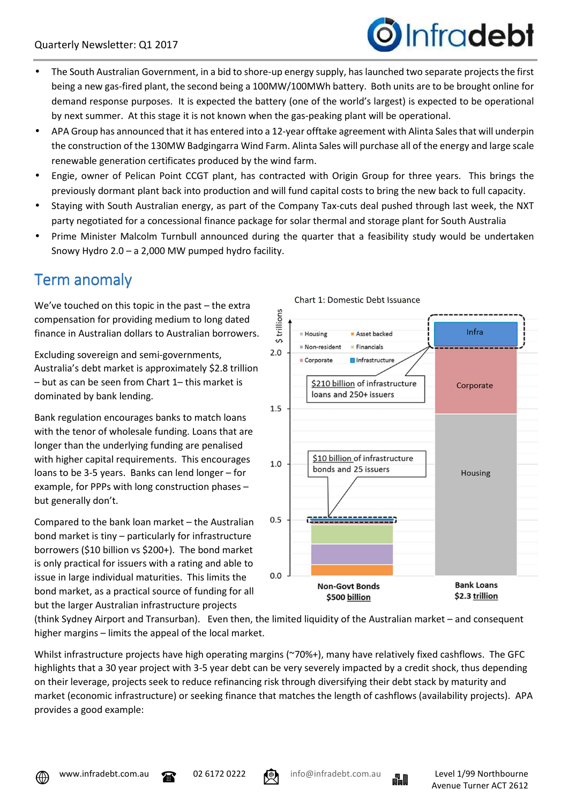

- The South Australian Government, in a bid to shore-up energy supply, has launched two separate projects the first being a new gas-fired plant, the second being a 100MW/100MWh battery. Both units are to be brought online for demand response purposes. It is expected the battery (one of the world's largest) is expected to be operational by next summer. At this stage it is not known when the gas-peaking plant will be operational.
- APA Group has announced that it has entered into a 12-year offtake agreement with Alinta Sales that will underpin the construction of the 130MW Badgingarra Wind Farm. Alinta Sales will purchase all of the energy and large scale renewable generation certificates produced by the wind farm.
- Engie, owner of Pelican Point CCGT plant, has contracted with Origin Group for three years. This brings the previously dormant plant back into production and will fund capital costs to bring the new back to full capacity.
- Staying with South Australian energy, as part of the Company Tax-cuts deal pushed through last week, the NXT party negotiated for a concessional finance package for solar thermal and storage plant for South Australia
- Prime Minister Malcolm Turnbull announced during the quarter that a feasibility study would be undertaken Snowy Hydro 2.0 – a 2,000 MW pumped hydro facility.

## Term anomaly

We've touched on this topic in the past – the extra compensation for providing medium to long dated finance in Australian dollars to Australian borrowers.

Excluding sovereign and semi-governments, Australia's debt market is approximately \$2.8 trillion – but as can be seen from Chart 1– this market is dominated by bank lending.

Bank regulation encourages banks to match loans with the tenor of wholesale funding. Loans that are longer than the underlying funding are penalised with higher capital requirements. This encourages loans to be 3-5 years. Banks can lend longer – for example, for PPPs with long construction phases – but generally don't.

Compared to the bank loan market – the Australian bond market is tiny – particularly for infrastructure borrowers (\$10 billion vs \$200+). The bond market is only practical for issuers with a rating and able to issue in large individual maturities. This limits the bond market, as a practical source of funding for all but the larger Australian infrastructure projects



(think Sydney Airport and Transurban). Even then, the limited liquidity of the Australian market – and consequent higher margins – limits the appeal of the local market.

Whilst infrastructure projects have high operating margins (~70%+), many have relatively fixed cashflows. The GFC highlights that a 30 year project with 3-5 year debt can be very severely impacted by a credit shock, thus depending on their leverage, projects seek to reduce refinancing risk through diversifying their debt stack by maturity and market (economic infrastructure) or seeking finance that matches the length of cashflows (availability projects). APA provides a good example:





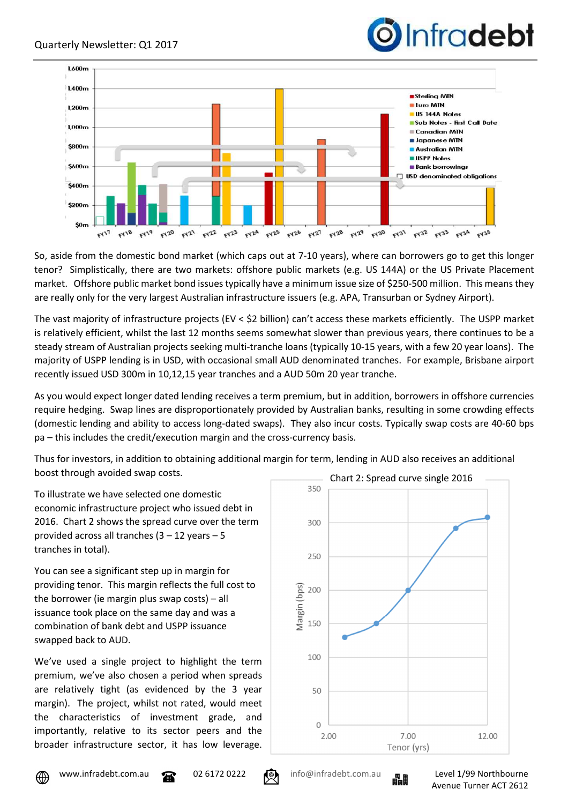



So, aside from the domestic bond market (which caps out at 7-10 years), where can borrowers go to get this longer tenor? Simplistically, there are two markets: offshore public markets (e.g. US 144A) or the US Private Placement market. Offshore public market bond issues typically have a minimum issue size of \$250-500 million. This means they are really only for the very largest Australian infrastructure issuers (e.g. APA, Transurban or Sydney Airport).

The vast majority of infrastructure projects (EV < \$2 billion) can't access these markets efficiently. The USPP market is relatively efficient, whilst the last 12 months seems somewhat slower than previous years, there continues to be a steady stream of Australian projects seeking multi-tranche loans (typically 10-15 years, with a few 20 year loans). The majority of USPP lending is in USD, with occasional small AUD denominated tranches. For example, Brisbane airport recently issued USD 300m in 10,12,15 year tranches and a AUD 50m 20 year tranche.

As you would expect longer dated lending receives a term premium, but in addition, borrowers in offshore currencies require hedging. Swap lines are disproportionately provided by Australian banks, resulting in some crowding effects (domestic lending and ability to access long-dated swaps). They also incur costs. Typically swap costs are 40-60 bps pa – this includes the credit/execution margin and the cross-currency basis.

Thus for investors, in addition to obtaining additional margin for term, lending in AUD also receives an additional boost through avoided swap costs.

To illustrate we have selected one domestic economic infrastructure project who issued debt in 2016. Chart 2 shows the spread curve over the term provided across all tranches (3 – 12 years – 5 tranches in total).

You can see a significant step up in margin for providing tenor. This margin reflects the full cost to the borrower (ie margin plus swap costs) – all issuance took place on the same day and was a combination of bank debt and USPP issuance swapped back to AUD.

We've used a single project to highlight the term premium, we've also chosen a period when spreads are relatively tight (as evidenced by the 3 year margin). The project, whilst not rated, would meet the characteristics of investment grade, and importantly, relative to its sector peers and the broader infrastructure sector, it has low leverage.





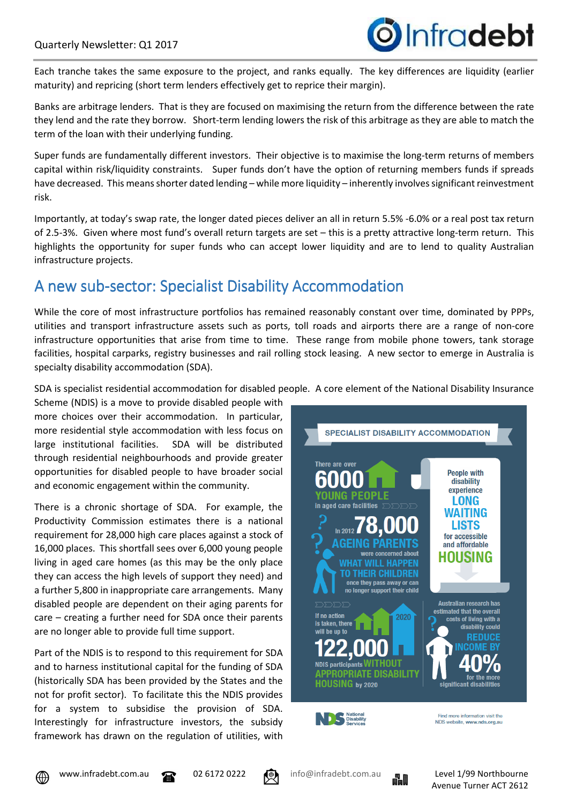

Each tranche takes the same exposure to the project, and ranks equally. The key differences are liquidity (earlier maturity) and repricing (short term lenders effectively get to reprice their margin).

Banks are arbitrage lenders. That is they are focused on maximising the return from the difference between the rate they lend and the rate they borrow. Short-term lending lowers the risk of this arbitrage as they are able to match the term of the loan with their underlying funding.

Super funds are fundamentally different investors. Their objective is to maximise the long-term returns of members capital within risk/liquidity constraints. Super funds don't have the option of returning members funds if spreads have decreased. This means shorter dated lending – while more liquidity – inherently involves significant reinvestment risk.

Importantly, at today's swap rate, the longer dated pieces deliver an all in return 5.5% -6.0% or a real post tax return of 2.5-3%. Given where most fund's overall return targets are set – this is a pretty attractive long-term return. This highlights the opportunity for super funds who can accept lower liquidity and are to lend to quality Australian infrastructure projects.

### A new sub-sector: Specialist Disability Accommodation

While the core of most infrastructure portfolios has remained reasonably constant over time, dominated by PPPs, utilities and transport infrastructure assets such as ports, toll roads and airports there are a range of non-core infrastructure opportunities that arise from time to time. These range from mobile phone towers, tank storage facilities, hospital carparks, registry businesses and rail rolling stock leasing. A new sector to emerge in Australia is specialty disability accommodation (SDA).

SDA is specialist residential accommodation for disabled people. A core element of the National Disability Insurance

Scheme (NDIS) is a move to provide disabled people with more choices over their accommodation. In particular, more residential style accommodation with less focus on large institutional facilities. SDA will be distributed through residential neighbourhoods and provide greater opportunities for disabled people to have broader social and economic engagement within the community.

There is a chronic shortage of SDA. For example, the Productivity Commission estimates there is a national requirement for 28,000 high care places against a stock of 16,000 places. This shortfall sees over 6,000 young people living in aged care homes (as this may be the only place they can access the high levels of support they need) and a further 5,800 in inappropriate care arrangements. Many disabled people are dependent on their aging parents for care – creating a further need for SDA once their parents are no longer able to provide full time support.

Part of the NDIS is to respond to this requirement for SDA and to harness institutional capital for the funding of SDA (historically SDA has been provided by the States and the not for profit sector). To facilitate this the NDIS provides for a system to subsidise the provision of SDA. Interestingly for infrastructure investors, the subsidy framework has drawn on the regulation of utilities, with







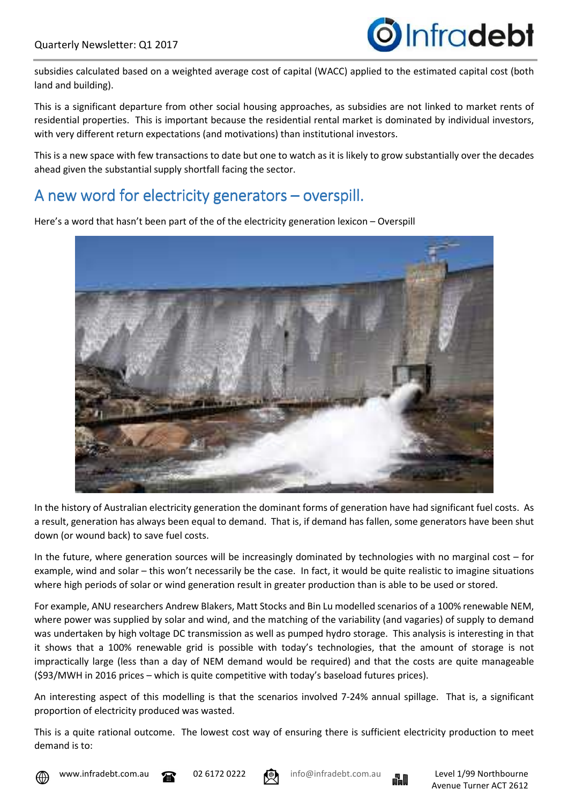

subsidies calculated based on a weighted average cost of capital (WACC) applied to the estimated capital cost (both land and building).

This is a significant departure from other social housing approaches, as subsidies are not linked to market rents of residential properties. This is important because the residential rental market is dominated by individual investors, with very different return expectations (and motivations) than institutional investors.

This is a new space with few transactions to date but one to watch as it is likely to grow substantially over the decades ahead given the substantial supply shortfall facing the sector.

#### A new word for electricity generators – overspill.

Here's a word that hasn't been part of the of the electricity generation lexicon – Overspill

In the history of Australian electricity generation the dominant forms of generation have had significant fuel costs. As a result, generation has always been equal to demand. That is, if demand has fallen, some generators have been shut down (or wound back) to save fuel costs.

In the future, where generation sources will be increasingly dominated by technologies with no marginal cost – for example, wind and solar – this won't necessarily be the case. In fact, it would be quite realistic to imagine situations where high periods of solar or wind generation result in greater production than is able to be used or stored.

For example, ANU researchers Andrew Blakers, Matt Stocks and Bin Lu modelled scenarios of a 100% renewable NEM, where power was supplied by solar and wind, and the matching of the variability (and vagaries) of supply to demand was undertaken by high voltage DC transmission as well as pumped hydro storage. This analysis is interesting in that it shows that a 100% renewable grid is possible with today's technologies, that the amount of storage is not impractically large (less than a day of NEM demand would be required) and that the costs are quite manageable (\$93/MWH in 2016 prices – which is quite competitive with today's baseload futures prices).

An interesting aspect of this modelling is that the scenarios involved 7-24% annual spillage. That is, a significant proportion of electricity produced was wasted.

This is a quite rational outcome. The lowest cost way of ensuring there is sufficient electricity production to meet demand is to:





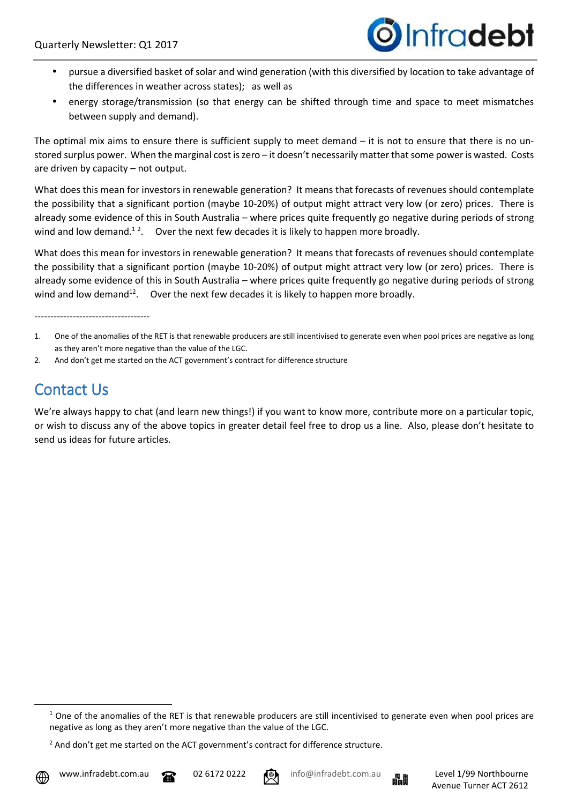

- pursue a diversified basket of solar and wind generation (with this diversified by location to take advantage of the differences in weather across states); as well as
- energy storage/transmission (so that energy can be shifted through time and space to meet mismatches between supply and demand).

The optimal mix aims to ensure there is sufficient supply to meet demand  $-$  it is not to ensure that there is no unstored surplus power. When the marginal cost is zero – it doesn't necessarily matter that some power is wasted. Costs are driven by capacity – not output.

What does this mean for investors in renewable generation? It means that forecasts of revenues should contemplate the possibility that a significant portion (maybe 10-20%) of output might attract very low (or zero) prices. There is already some evidence of this in South Australia – where prices quite frequently go negative during periods of strong wind and low demand.<sup>12</sup>. Over the next few decades it is likely to happen more broadly.

What does this mean for investors in renewable generation? It means that forecasts of revenues should contemplate the possibility that a significant portion (maybe 10-20%) of output might attract very low (or zero) prices. There is already some evidence of this in South Australia – where prices quite frequently go negative during periods of strong wind and low demand<sup>12</sup>. Over the next few decades it is likely to happen more broadly.

------------------------------------

2. And don't get me started on the ACT government's contract for difference structure

### **Contact Us**

We're always happy to chat (and learn new things!) if you want to know more, contribute more on a particular topic, or wish to discuss any of the above topics in greater detail feel free to drop us a line. Also, please don't hesitate to send us ideas for future articles.

l





<sup>1.</sup> One of the anomalies of the RET is that renewable producers are still incentivised to generate even when pool prices are negative as long as they aren't more negative than the value of the LGC.

 $1$  One of the anomalies of the RET is that renewable producers are still incentivised to generate even when pool prices are negative as long as they aren't more negative than the value of the LGC.

 $2$  And don't get me started on the ACT government's contract for difference structure.